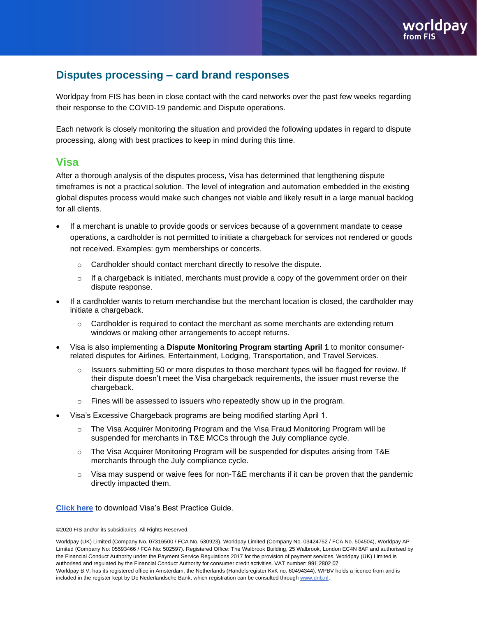# **Disputes processing – card brand responses**

Worldpay from FIS has been in close contact with the card networks over the past few weeks regarding their response to the COVID-19 pandemic and Dispute operations.

Each network is closely monitoring the situation and provided the following updates in regard to dispute processing, along with best practices to keep in mind during this time.

### **Visa**

After a thorough analysis of the disputes process, Visa has determined that lengthening dispute timeframes is not a practical solution. The level of integration and automation embedded in the existing global disputes process would make such changes not viable and likely result in a large manual backlog for all clients.

- If a merchant is unable to provide goods or services because of a government mandate to cease operations, a cardholder is not permitted to initiate a chargeback for services not rendered or goods not received. Examples: gym memberships or concerts.
	- o Cardholder should contact merchant directly to resolve the dispute.
	- $\circ$  If a chargeback is initiated, merchants must provide a copy of the government order on their dispute response.
- If a cardholder wants to return merchandise but the merchant location is closed, the cardholder may initiate a chargeback.
	- $\circ$  Cardholder is required to contact the merchant as some merchants are extending return windows or making other arrangements to accept returns.
- Visa is also implementing a **Dispute Monitoring Program starting April 1** to monitor consumerrelated disputes for Airlines, Entertainment, Lodging, Transportation, and Travel Services.
	- $\circ$  Issuers submitting 50 or more disputes to those merchant types will be flagged for review. If their dispute doesn't meet the Visa chargeback requirements, the issuer must reverse the chargeback.
	- $\circ$  Fines will be assessed to issuers who repeatedly show up in the program.
- Visa's Excessive Chargeback programs are being modified starting April 1.
	- o The Visa Acquirer Monitoring Program and the Visa Fraud Monitoring Program will be suspended for merchants in T&E MCCs through the July compliance cycle.
	- $\circ$  The Visa Acquirer Monitoring Program will be suspended for disputes arising from T&E merchants through the July compliance cycle.
	- $\circ$  Visa may suspend or waive fees for non-T&E merchants if it can be proven that the pandemic directly impacted them.

**[Click here](https://usa.visa.com/dam/VCOM/global/support-legal/documents/merchant-dispute-resolution-best-practices.pdf)** to download Visa's Best Practice Guide.

©2020 FIS and/or its subsidiaries. All Rights Reserved.

Worldpay (UK) Limited (Company No. 07316500 / FCA No. 530923), Worldpay Limited (Company No. 03424752 / FCA No. 504504), Worldpay AP Limited (Company No: 05593466 / FCA No: 502597). Registered Office: The Walbrook Building, 25 Walbrook, London EC4N 8AF and authorised by the Financial Conduct Authority under the Payment Service Regulations 2017 for the provision of payment services. Worldpay (UK) Limited is authorised and regulated by the Financial Conduct Authority for consumer credit activities. VAT number: 991 2802 07 Worldpay B.V. has its registered office in Amsterdam, the Netherlands (Handelsregister KvK no. 60494344). WPBV holds a licence from and is included in the register kept by De Nederlandsche Bank, which registration can be consulted throug[h www.dnb.nl.](http://www.dnb.nl/)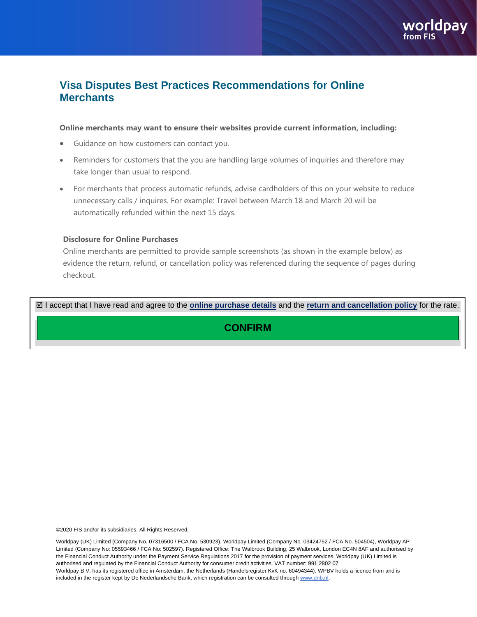# **Visa Disputes Best Practices Recommendations for Online Merchants**

#### **Online merchants may want to ensure their websites provide current information, including:**

- Guidance on how customers can contact you.
- Reminders for customers that the you are handling large volumes of inquiries and therefore may take longer than usual to respond.
- For merchants that process automatic refunds, advise cardholders of this on your website to reduce unnecessary calls / inquires. For example: Travel between March 18 and March 20 will be automatically refunded within the next 15 days.

#### **Disclosure for Online Purchases**

Online merchants are permitted to provide sample screenshots (as shown in the example below) as evidence the return, refund, or cancellation policy was referenced during the sequence of pages during checkout.

I accept that I have read and agree to the **online purchase details** and the **return and cancellation policy** for the rate.

**CONFIRM**

©2020 FIS and/or its subsidiaries. All Rights Reserved.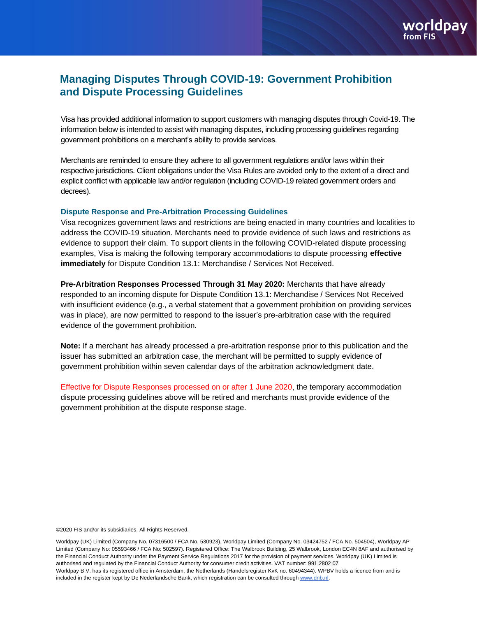## **Managing Disputes Through COVID-19: Government Prohibition and Dispute Processing Guidelines**

Visa has provided additional information to support customers with managing disputes through Covid-19. The information below is intended to assist with managing disputes, including processing guidelines regarding government prohibitions on a merchant's ability to provide services.

Merchants are reminded to ensure they adhere to all government regulations and/or laws within their respective jurisdictions. Client obligations under the Visa Rules are avoided only to the extent of a direct and explicit conflict with applicable law and/or regulation (including COVID-19 related government orders and decrees).

#### **Dispute Response and Pre-Arbitration Processing Guidelines**

Visa recognizes government laws and restrictions are being enacted in many countries and localities to address the COVID-19 situation. Merchants need to provide evidence of such laws and restrictions as evidence to support their claim. To support clients in the following COVID-related dispute processing examples, Visa is making the following temporary accommodations to dispute processing **effective immediately** for Dispute Condition 13.1: Merchandise / Services Not Received.

**Pre-Arbitration Responses Processed Through 31 May 2020:** Merchants that have already responded to an incoming dispute for Dispute Condition 13.1: Merchandise / Services Not Received with insufficient evidence (e.g., a verbal statement that a government prohibition on providing services was in place), are now permitted to respond to the issuer's pre-arbitration case with the required evidence of the government prohibition.

**Note:** If a merchant has already processed a pre-arbitration response prior to this publication and the issuer has submitted an arbitration case, the merchant will be permitted to supply evidence of government prohibition within seven calendar days of the arbitration acknowledgment date.

Effective for Dispute Responses processed on or after 1 June 2020, the temporary accommodation dispute processing guidelines above will be retired and merchants must provide evidence of the government prohibition at the dispute response stage.

©2020 FIS and/or its subsidiaries. All Rights Reserved.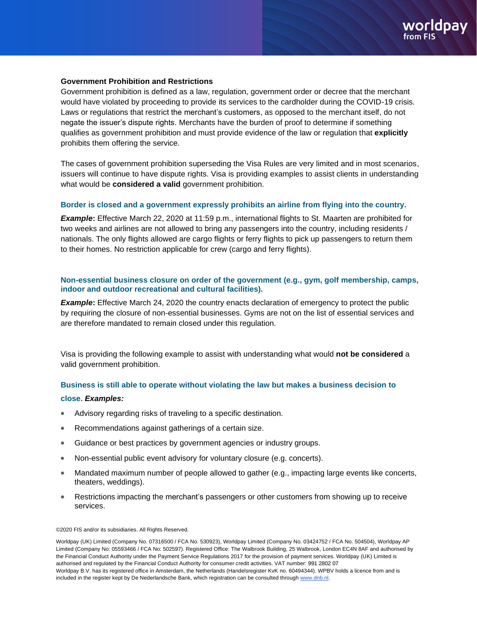#### **Government Prohibition and Restrictions**

Government prohibition is defined as a law, regulation, government order or decree that the merchant would have violated by proceeding to provide its services to the cardholder during the COVID-19 crisis. Laws or regulations that restrict the merchant's customers, as opposed to the merchant itself, do not negate the issuer's dispute rights. Merchants have the burden of proof to determine if something qualifies as government prohibition and must provide evidence of the law or regulation that **explicitly**  prohibits them offering the service.

The cases of government prohibition superseding the Visa Rules are very limited and in most scenarios, issuers will continue to have dispute rights. Visa is providing examples to assist clients in understanding what would be **considered a valid** government prohibition.

#### **Border is closed and a government expressly prohibits an airline from flying into the country.**

*Example***:** Effective March 22, 2020 at 11:59 p.m., international flights to St. Maarten are prohibited for two weeks and airlines are not allowed to bring any passengers into the country, including residents / nationals. The only flights allowed are cargo flights or ferry flights to pick up passengers to return them to their homes. No restriction applicable for crew (cargo and ferry flights).

#### **Non-essential business closure on order of the government (e.g., gym, golf membership, camps, indoor and outdoor recreational and cultural facilities).**

**Example:** Effective March 24, 2020 the country enacts declaration of emergency to protect the public by requiring the closure of non-essential businesses. Gyms are not on the list of essential services and are therefore mandated to remain closed under this regulation.

Visa is providing the following example to assist with understanding what would **not be considered** a valid government prohibition.

#### **Business is still able to operate without violating the law but makes a business decision to**

#### **close.** *Examples:*

- Advisory regarding risks of traveling to a specific destination.
- Recommendations against gatherings of a certain size.
- Guidance or best practices by government agencies or industry groups.
- Non-essential public event advisory for voluntary closure (e.g. concerts).
- Mandated maximum number of people allowed to gather (e.g., impacting large events like concerts, theaters, weddings).
- Restrictions impacting the merchant's passengers or other customers from showing up to receive services.

©2020 FIS and/or its subsidiaries. All Rights Reserved.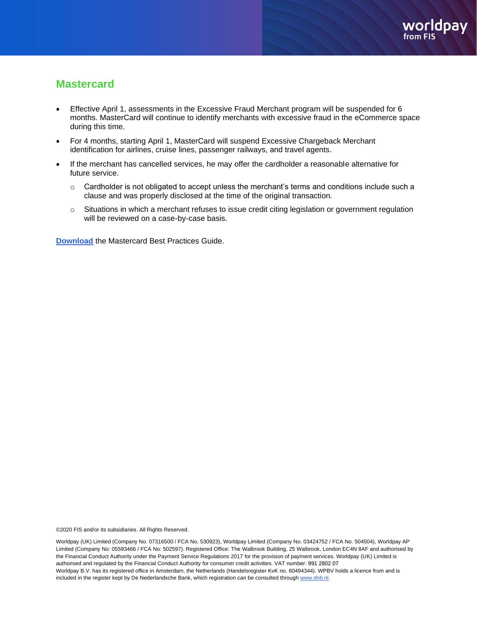## **Mastercard**

- Effective April 1, assessments in the Excessive Fraud Merchant program will be suspended for 6 months. MasterCard will continue to identify merchants with excessive fraud in the eCommerce space during this time.
- For 4 months, starting April 1, MasterCard will suspend Excessive Chargeback Merchant identification for airlines, cruise lines, passenger railways, and travel agents.
- If the merchant has cancelled services, he may offer the cardholder a reasonable alternative for future service.
	- $\circ$  Cardholder is not obligated to accept unless the merchant's terms and conditions include such a clause and was properly disclosed at the time of the original transaction.
	- o Situations in which a merchant refuses to issue credit citing legislation or government regulation will be reviewed on a case-by-case basis.

**[Download](https://www.mastercard.us/content/dam/mccom/global/documents/chargeback-guide.pdf)** the Mastercard Best Practices Guide.

©2020 FIS and/or its subsidiaries. All Rights Reserved.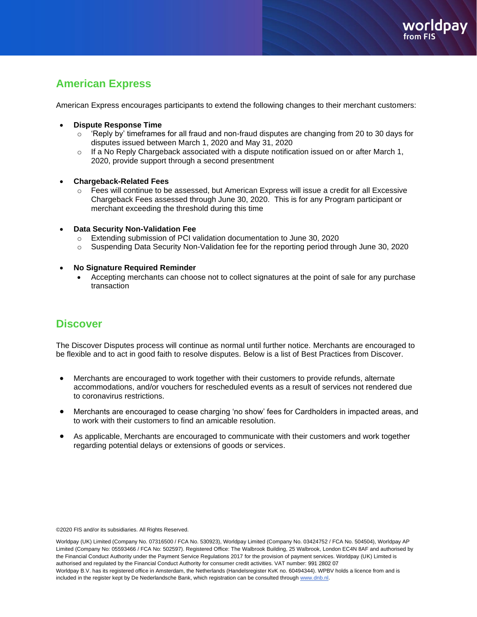# **American Express**

American Express encourages participants to extend the following changes to their merchant customers:

- **Dispute Response Time**
	- $\circ$  'Reply by' timeframes for all fraud and non-fraud disputes are changing from 20 to 30 days for disputes issued between March 1, 2020 and May 31, 2020
	- $\circ$  If a No Reply Chargeback associated with a dispute notification issued on or after March 1, 2020, provide support through a second presentment
- **Chargeback-Related Fees** 
	- o Fees will continue to be assessed, but American Express will issue a credit for all Excessive Chargeback Fees assessed through June 30, 2020. This is for any Program participant or merchant exceeding the threshold during this time
- **Data Security Non-Validation Fee**
	- o Extending submission of PCI validation documentation to June 30, 2020
	- o Suspending Data Security Non-Validation fee for the reporting period through June 30, 2020
- **No Signature Required Reminder**
	- Accepting merchants can choose not to collect signatures at the point of sale for any purchase transaction

## **Discover**

The Discover Disputes process will continue as normal until further notice. Merchants are encouraged to be flexible and to act in good faith to resolve disputes. Below is a list of Best Practices from Discover.

- Merchants are encouraged to work together with their customers to provide refunds, alternate accommodations, and/or vouchers for rescheduled events as a result of services not rendered due to coronavirus restrictions.
- Merchants are encouraged to cease charging 'no show' fees for Cardholders in impacted areas, and to work with their customers to find an amicable resolution.
- As applicable, Merchants are encouraged to communicate with their customers and work together regarding potential delays or extensions of goods or services.

©2020 FIS and/or its subsidiaries. All Rights Reserved.